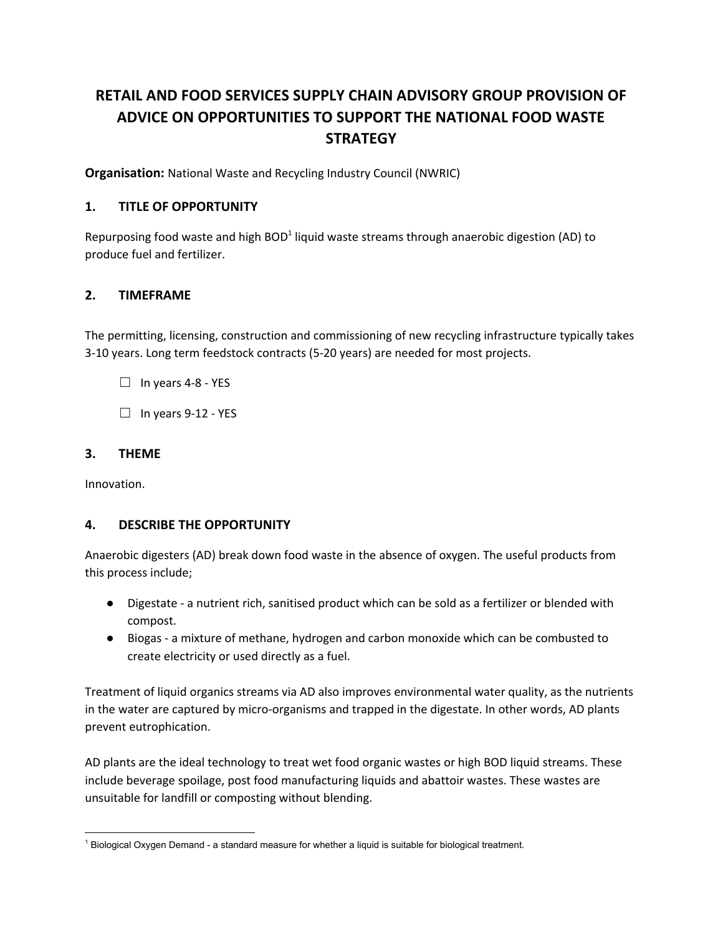# **RETAIL AND FOOD SERVICES SUPPLY CHAIN ADVISORY GROUP PROVISION OF ADVICE ON OPPORTUNITIES TO SUPPORT THE NATIONAL FOOD WASTE STRATEGY**

**Organisation:** National Waste and Recycling Industry Council (NWRIC)

#### **1. TITLE OF OPPORTUNITY**

Repurposing food waste and high BOD<sup>1</sup> liquid waste streams through anaerobic digestion (AD) to produce fuel and fertilizer.

#### **2. TIMEFRAME**

The permitting, licensing, construction and commissioning of new recycling infrastructure typically takes 3-10 years. Long term feedstock contracts (5-20 years) are needed for most projects.

 $\Box$  In years 4-8 - YES

 $\Box$  In years 9-12 - YES

#### **3. THEME**

Innovation.

#### **4. DESCRIBE THE OPPORTUNITY**

Anaerobic digesters (AD) break down food waste in the absence of oxygen. The useful products from this process include;

- Digestate a nutrient rich, sanitised product which can be sold as a fertilizer or blended with compost.
- Biogas a mixture of methane, hydrogen and carbon monoxide which can be combusted to create electricity or used directly as a fuel.

Treatment of liquid organics streams via AD also improves environmental water quality, as the nutrients in the water are captured by micro-organisms and trapped in the digestate. In other words, AD plants prevent eutrophication.

AD plants are the ideal technology to treat wet food organic wastes or high BOD liquid streams. These include beverage spoilage, post food manufacturing liquids and abattoir wastes. These wastes are unsuitable for landfill or composting without blending.

<sup>1</sup> Biological Oxygen Demand - a standard measure for whether a liquid is suitable for biological treatment.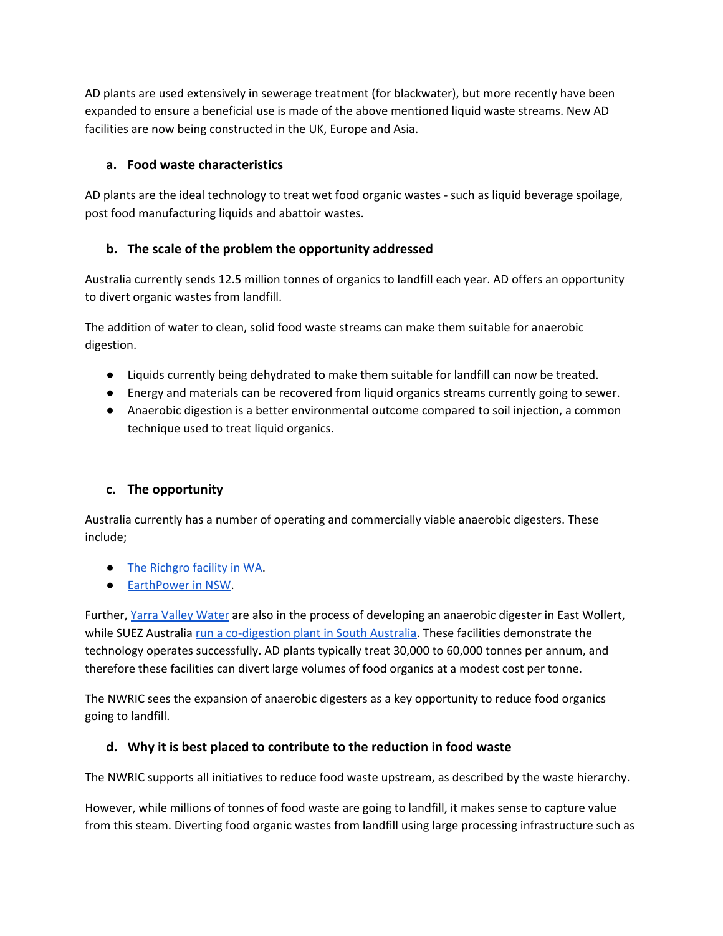AD plants are used extensively in sewerage treatment (for blackwater), but more recently have been expanded to ensure a beneficial use is made of the above mentioned liquid waste streams. New AD facilities are now being constructed in the UK, Europe and Asia.

#### **a. Food waste characteristics**

AD plants are the ideal technology to treat wet food organic wastes - such as liquid beverage spoilage, post food manufacturing liquids and abattoir wastes.

## **b. The scale of the problem the opportunity addressed**

Australia currently sends 12.5 million tonnes of organics to landfill each year. AD offers an opportunity to divert organic wastes from landfill.

The addition of water to clean, solid food waste streams can make them suitable for anaerobic digestion.

- Liquids currently being dehydrated to make them suitable for landfill can now be treated.
- Energy and materials can be recovered from liquid organics streams currently going to sewer.
- Anaerobic digestion is a better environmental outcome compared to soil injection, a common technique used to treat liquid organics.

#### **c. The opportunity**

Australia currently has a number of operating and commercially viable anaerobic digesters. These include;

- The [Richgro](http://www.richgro.com.au/news/waste-to-clean-energy-in-a-southern-hemisphere-first/) facility in WA.
- **[EarthPower](https://earthpower.com.au/) in NSW**.

Further, Yarra Valley [Water](https://www.yvw.com.au/about-us/major-projects/waste-energy-facility) are also in the process of developing an anaerobic digester in East Wollert, while SUEZ Australia run a [co-digestion](http://www.degremont.com.au/media/news/treating-todays-organics-for-tomorrows-energy/) plant in South Australia. These facilities demonstrate the technology operates successfully. AD plants typically treat 30,000 to 60,000 tonnes per annum, and therefore these facilities can divert large volumes of food organics at a modest cost per tonne.

The NWRIC sees the expansion of anaerobic digesters as a key opportunity to reduce food organics going to landfill.

## **d. Why it is best placed to contribute to the reduction in food waste**

The NWRIC supports all initiatives to reduce food waste upstream, as described by the waste hierarchy.

However, while millions of tonnes of food waste are going to landfill, it makes sense to capture value from this steam. Diverting food organic wastes from landfill using large processing infrastructure such as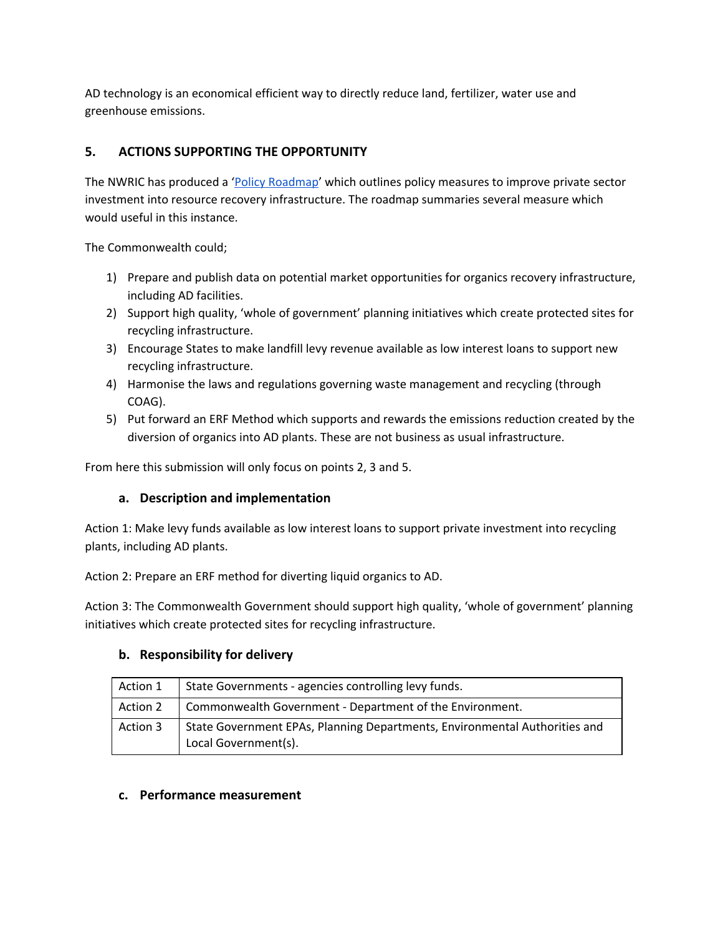AD technology is an economical efficient way to directly reduce land, fertilizer, water use and greenhouse emissions.

# **5. ACTIONS SUPPORTING THE OPPORTUNITY**

The NWRIC has produced a 'Policy [Roadmap'](http://www.nwric.com.au/) which outlines policy measures to improve private sector investment into resource recovery infrastructure. The roadmap summaries several measure which would useful in this instance.

The Commonwealth could;

- 1) Prepare and publish data on potential market opportunities for organics recovery infrastructure, including AD facilities.
- 2) Support high quality, 'whole of government' planning initiatives which create protected sites for recycling infrastructure.
- 3) Encourage States to make landfill levy revenue available as low interest loans to support new recycling infrastructure.
- 4) Harmonise the laws and regulations governing waste management and recycling (through COAG).
- 5) Put forward an ERF Method which supports and rewards the emissions reduction created by the diversion of organics into AD plants. These are not business as usual infrastructure.

From here this submission will only focus on points 2, 3 and 5.

## **a. Description and implementation**

Action 1: Make levy funds available as low interest loans to support private investment into recycling plants, including AD plants.

Action 2: Prepare an ERF method for diverting liquid organics to AD.

Action 3: The Commonwealth Government should support high quality, 'whole of government' planning initiatives which create protected sites for recycling infrastructure.

## **b. Responsibility for delivery**

| Action 1 | State Governments - agencies controlling levy funds.                                               |
|----------|----------------------------------------------------------------------------------------------------|
| Action 2 | Commonwealth Government - Department of the Environment.                                           |
| Action 3 | State Government EPAs, Planning Departments, Environmental Authorities and<br>Local Government(s). |

## **c. Performance measurement**